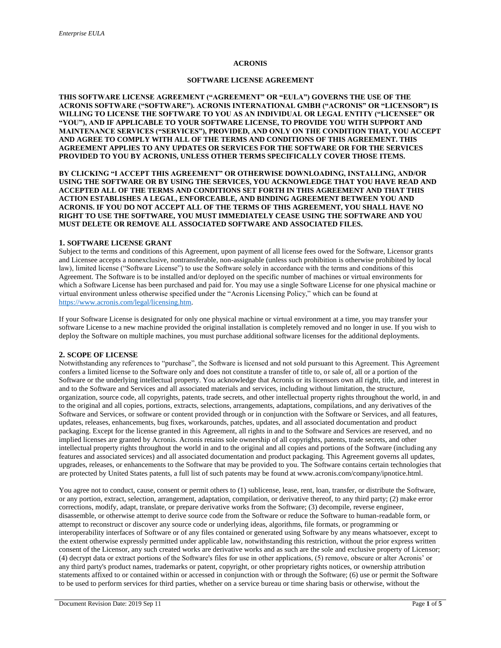### **ACRONIS**

# **SOFTWARE LICENSE AGREEMENT**

**THIS SOFTWARE LICENSE AGREEMENT ("AGREEMENT" OR "EULA") GOVERNS THE USE OF THE ACRONIS SOFTWARE ("SOFTWARE"). ACRONIS INTERNATIONAL GMBH ("ACRONIS" OR "LICENSOR") IS WILLING TO LICENSE THE SOFTWARE TO YOU AS AN INDIVIDUAL OR LEGAL ENTITY ("LICENSEE" OR "YOU"), AND IF APPLICABLE TO YOUR SOFTWARE LICENSE, TO PROVIDE YOU WITH SUPPORT AND MAINTENANCE SERVICES ("SERVICES"), PROVIDED, AND ONLY ON THE CONDITION THAT, YOU ACCEPT AND AGREE TO COMPLY WITH ALL OF THE TERMS AND CONDITIONS OF THIS AGREEMENT. THIS AGREEMENT APPLIES TO ANY UPDATES OR SERVICES FOR THE SOFTWARE OR FOR THE SERVICES PROVIDED TO YOU BY ACRONIS, UNLESS OTHER TERMS SPECIFICALLY COVER THOSE ITEMS.** 

**BY CLICKING "I ACCEPT THIS AGREEMENT" OR OTHERWISE DOWNLOADING, INSTALLING, AND/OR USING THE SOFTWARE OR BY USING THE SERVICES, YOU ACKNOWLEDGE THAT YOU HAVE READ AND ACCEPTED ALL OF THE TERMS AND CONDITIONS SET FORTH IN THIS AGREEMENT AND THAT THIS ACTION ESTABLISHES A LEGAL, ENFORCEABLE, AND BINDING AGREEMENT BETWEEN YOU AND ACRONIS. IF YOU DO NOT ACCEPT ALL OF THE TERMS OF THIS AGREEMENT, YOU SHALL HAVE NO RIGHT TO USE THE SOFTWARE, YOU MUST IMMEDIATELY CEASE USING THE SOFTWARE AND YOU MUST DELETE OR REMOVE ALL ASSOCIATED SOFTWARE AND ASSOCIATED FILES.** 

# **1. SOFTWARE LICENSE GRANT**

Subject to the terms and conditions of this Agreement, upon payment of all license fees owed for the Software, Licensor grants and Licensee accepts a nonexclusive, nontransferable, non-assignable (unless such prohibition is otherwise prohibited by local law), limited license ("Software License") to use the Software solely in accordance with the terms and conditions of this Agreement. The Software is to be installed and/or deployed on the specific number of machines or virtual environments for which a Software License has been purchased and paid for. You may use a single Software License for one physical machine or virtual environment unless otherwise specified under the "Acronis Licensing Policy," which can be found at [https://www.acronis.com/legal/licensing.htm.](https://www.acronis.com/legal/licensing.htm)

If your Software License is designated for only one physical machine or virtual environment at a time, you may transfer your software License to a new machine provided the original installation is completely removed and no longer in use. If you wish to deploy the Software on multiple machines, you must purchase additional software licenses for the additional deployments.

# **2. SCOPE OF LICENSE**

Notwithstanding any references to "purchase", the Software is licensed and not sold pursuant to this Agreement. This Agreement confers a limited license to the Software only and does not constitute a transfer of title to, or sale of, all or a portion of the Software or the underlying intellectual property. You acknowledge that Acronis or its licensors own all right, title, and interest in and to the Software and Services and all associated materials and services, including without limitation, the structure, organization, source code, all copyrights, patents, trade secrets, and other intellectual property rights throughout the world, in and to the original and all copies, portions, extracts, selections, arrangements, adaptations, compilations, and any derivatives of the Software and Services, or software or content provided through or in conjunction with the Software or Services, and all features, updates, releases, enhancements, bug fixes, workarounds, patches, updates, and all associated documentation and product packaging. Except for the license granted in this Agreement, all rights in and to the Software and Services are reserved, and no implied licenses are granted by Acronis. Acronis retains sole ownership of all copyrights, patents, trade secrets, and other intellectual property rights throughout the world in and to the original and all copies and portions of the Software (including any features and associated services) and all associated documentation and product packaging. This Agreement governs all updates, upgrades, releases, or enhancements to the Software that may be provided to you. The Software contains certain technologies that are protected by United States patents, a full list of such patents may be found at www.acronis.com/company/ipnotice.html.

You agree not to conduct, cause, consent or permit others to (1) sublicense, lease, rent, loan, transfer, or distribute the Software, or any portion, extract, selection, arrangement, adaptation, compilation, or derivative thereof, to any third party; (2) make error corrections, modify, adapt, translate, or prepare derivative works from the Software; (3) decompile, reverse engineer, disassemble, or otherwise attempt to derive source code from the Software or reduce the Software to human-readable form, or attempt to reconstruct or discover any source code or underlying ideas, algorithms, file formats, or programming or interoperability interfaces of Software or of any files contained or generated using Software by any means whatsoever, except to the extent otherwise expressly permitted under applicable law, notwithstanding this restriction, without the prior express written consent of the Licensor, any such created works are derivative works and as such are the sole and exclusive property of Licensor; (4) decrypt data or extract portions of the Software's files for use in other applications, (5) remove, obscure or alter Acronis' or any third party's product names, trademarks or patent, copyright, or other proprietary rights notices, or ownership attribution statements affixed to or contained within or accessed in conjunction with or through the Software; (6) use or permit the Software to be used to perform services for third parties, whether on a service bureau or time sharing basis or otherwise, without the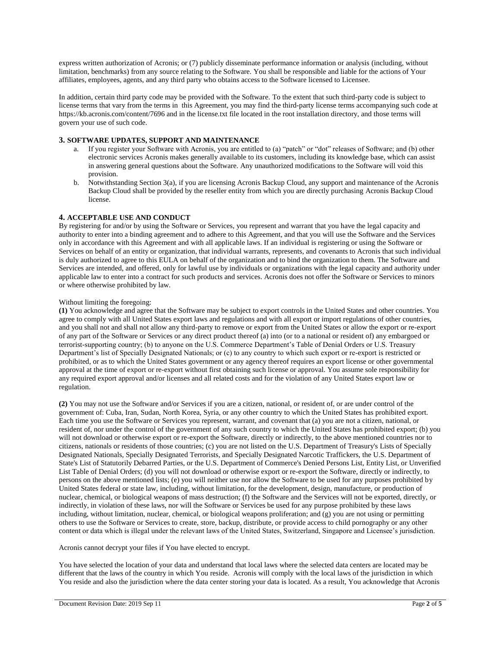express written authorization of Acronis; or (7) publicly disseminate performance information or analysis (including, without limitation, benchmarks) from any source relating to the Software. You shall be responsible and liable for the actions of Your affiliates, employees, agents, and any third party who obtains access to the Software licensed to Licensee.

In addition, certain third party code may be provided with the Software. To the extent that such third-party code is subject to license terms that vary from the terms in this Agreement, you may find the third-party license terms accompanying such code at https://kb.acronis.com/content/7696 and in the license.txt file located in the root installation directory, and those terms will govern your use of such code.

# **3. SOFTWARE UPDATES, SUPPORT AND MAINTENANCE**

- a. If you register your Software with Acronis, you are entitled to (a) "patch" or "dot" releases of Software; and (b) other electronic services Acronis makes generally available to its customers, including its knowledge base, which can assist in answering general questions about the Software. Any unauthorized modifications to the Software will void this provision.
- b. Notwithstanding Section 3(a), if you are licensing Acronis Backup Cloud, any support and maintenance of the Acronis Backup Cloud shall be provided by the reseller entity from which you are directly purchasing Acronis Backup Cloud license.

# **4. ACCEPTABLE USE AND CONDUCT**

By registering for and/or by using the Software or Services, you represent and warrant that you have the legal capacity and authority to enter into a binding agreement and to adhere to this Agreement, and that you will use the Software and the Services only in accordance with this Agreement and with all applicable laws. If an individual is registering or using the Software or Services on behalf of an entity or organization, that individual warrants, represents, and covenants to Acronis that such individual is duly authorized to agree to this EULA on behalf of the organization and to bind the organization to them. The Software and Services are intended, and offered, only for lawful use by individuals or organizations with the legal capacity and authority under applicable law to enter into a contract for such products and services. Acronis does not offer the Software or Services to minors or where otherwise prohibited by law.

#### Without limiting the foregoing:

**(1)** You acknowledge and agree that the Software may be subject to export controls in the United States and other countries. You agree to comply with all United States export laws and regulations and with all export or import regulations of other countries, and you shall not and shall not allow any third-party to remove or export from the United States or allow the export or re-export of any part of the Software or Services or any direct product thereof (a) into (or to a national or resident of) any embargoed or terrorist-supporting country; (b) to anyone on the U.S. Commerce Department's Table of Denial Orders or U.S. Treasury Department's list of Specially Designated Nationals; or (c) to any country to which such export or re-export is restricted or prohibited, or as to which the United States government or any agency thereof requires an export license or other governmental approval at the time of export or re-export without first obtaining such license or approval. You assume sole responsibility for any required export approval and/or licenses and all related costs and for the violation of any United States export law or regulation.

**(2)** You may not use the Software and/or Services if you are a citizen, national, or resident of, or are under control of the government of: Cuba, Iran, Sudan, North Korea, Syria, or any other country to which the United States has prohibited export. Each time you use the Software or Services you represent, warrant, and covenant that (a) you are not a citizen, national, or resident of, nor under the control of the government of any such country to which the United States has prohibited export; (b) you will not download or otherwise export or re-export the Software, directly or indirectly, to the above mentioned countries nor to citizens, nationals or residents of those countries; (c) you are not listed on the U.S. Department of Treasury's Lists of Specially Designated Nationals, Specially Designated Terrorists, and Specially Designated Narcotic Traffickers, the U.S. Department of State's List of Statutorily Debarred Parties, or the U.S. Department of Commerce's Denied Persons List, Entity List, or Unverified List Table of Denial Orders; (d) you will not download or otherwise export or re-export the Software, directly or indirectly, to persons on the above mentioned lists; (e) you will neither use nor allow the Software to be used for any purposes prohibited by United States federal or state law, including, without limitation, for the development, design, manufacture, or production of nuclear, chemical, or biological weapons of mass destruction; (f) the Software and the Services will not be exported, directly, or indirectly, in violation of these laws, nor will the Software or Services be used for any purpose prohibited by these laws including, without limitation, nuclear, chemical, or biological weapons proliferation; and (g) you are not using or permitting others to use the Software or Services to create, store, backup, distribute, or provide access to child pornography or any other content or data which is illegal under the relevant laws of the United States, Switzerland, Singapore and Licensee's jurisdiction.

Acronis cannot decrypt your files if You have elected to encrypt.

You have selected the location of your data and understand that local laws where the selected data centers are located may be different that the laws of the country in which You reside. Acronis will comply with the local laws of the jurisdiction in which You reside and also the jurisdiction where the data center storing your data is located. As a result, You acknowledge that Acronis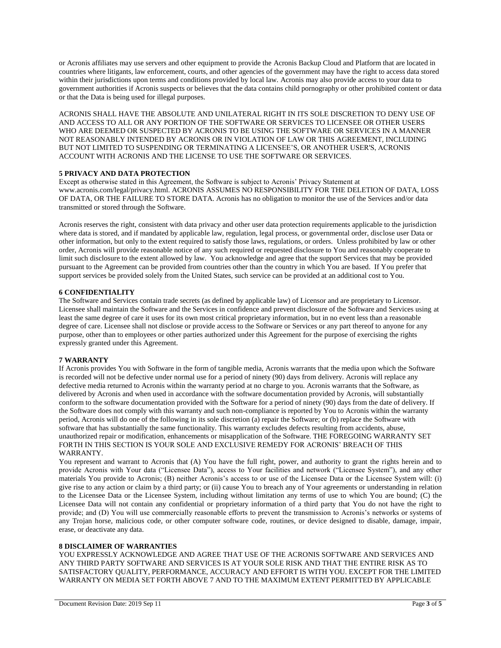or Acronis affiliates may use servers and other equipment to provide the Acronis Backup Cloud and Platform that are located in countries where litigants, law enforcement, courts, and other agencies of the government may have the right to access data stored within their jurisdictions upon terms and conditions provided by local law. Acronis may also provide access to your data to government authorities if Acronis suspects or believes that the data contains child pornography or other prohibited content or data or that the Data is being used for illegal purposes.

ACRONIS SHALL HAVE THE ABSOLUTE AND UNILATERAL RIGHT IN ITS SOLE DISCRETION TO DENY USE OF AND ACCESS TO ALL OR ANY PORTION OF THE SOFTWARE OR SERVICES TO LICENSEE OR OTHER USERS WHO ARE DEEMED OR SUSPECTED BY ACRONIS TO BE USING THE SOFTWARE OR SERVICES IN A MANNER NOT REASONABLY INTENDED BY ACRONIS OR IN VIOLATION OF LAW OR THIS AGREEMENT, INCLUDING BUT NOT LIMITED TO SUSPENDING OR TERMINATING A LICENSEE'S, OR ANOTHER USER'S, ACRONIS ACCOUNT WITH ACRONIS AND THE LICENSE TO USE THE SOFTWARE OR SERVICES.

### **5 PRIVACY AND DATA PROTECTION**

Except as otherwise stated in this Agreement, the Software is subject to Acronis' Privacy Statement at www.acronis.com/legal/privacy.html. ACRONIS ASSUMES NO RESPONSIBILITY FOR THE DELETION OF DATA, LOSS OF DATA, OR THE FAILURE TO STORE DATA. Acronis has no obligation to monitor the use of the Services and/or data transmitted or stored through the Software.

Acronis reserves the right, consistent with data privacy and other user data protection requirements applicable to the jurisdiction where data is stored, and if mandated by applicable law, regulation, legal process, or governmental order, disclose user Data or other information, but only to the extent required to satisfy those laws, regulations, or orders. Unless prohibited by law or other order, Acronis will provide reasonable notice of any such required or requested disclosure to You and reasonably cooperate to limit such disclosure to the extent allowed by law. You acknowledge and agree that the support Services that may be provided pursuant to the Agreement can be provided from countries other than the country in which You are based. If You prefer that support services be provided solely from the United States, such service can be provided at an additional cost to You.

# **6 CONFIDENTIALITY**

The Software and Services contain trade secrets (as defined by applicable law) of Licensor and are proprietary to Licensor. Licensee shall maintain the Software and the Services in confidence and prevent disclosure of the Software and Services using at least the same degree of care it uses for its own most critical proprietary information, but in no event less than a reasonable degree of care. Licensee shall not disclose or provide access to the Software or Services or any part thereof to anyone for any purpose, other than to employees or other parties authorized under this Agreement for the purpose of exercising the rights expressly granted under this Agreement.

#### **7 WARRANTY**

If Acronis provides You with Software in the form of tangible media, Acronis warrants that the media upon which the Software is recorded will not be defective under normal use for a period of ninety (90) days from delivery. Acronis will replace any defective media returned to Acronis within the warranty period at no charge to you. Acronis warrants that the Software, as delivered by Acronis and when used in accordance with the software documentation provided by Acronis, will substantially conform to the software documentation provided with the Software for a period of ninety (90) days from the date of delivery. If the Software does not comply with this warranty and such non-compliance is reported by You to Acronis within the warranty period, Acronis will do one of the following in its sole discretion (a) repair the Software; or (b) replace the Software with software that has substantially the same functionality. This warranty excludes defects resulting from accidents, abuse, unauthorized repair or modification, enhancements or misapplication of the Software. THE FOREGOING WARRANTY SET FORTH IN THIS SECTION IS YOUR SOLE AND EXCLUSIVE REMEDY FOR ACRONIS' BREACH OF THIS WARRANTY.

You represent and warrant to Acronis that (A) You have the full right, power, and authority to grant the rights herein and to provide Acronis with Your data ("Licensee Data"), access to Your facilities and network ("Licensee System"), and any other materials You provide to Acronis; (B) neither Acronis's access to or use of the Licensee Data or the Licensee System will: (i) give rise to any action or claim by a third party; or (ii) cause You to breach any of Your agreements or understanding in relation to the Licensee Data or the Licensee System, including without limitation any terms of use to which You are bound; (C) the Licensee Data will not contain any confidential or proprietary information of a third party that You do not have the right to provide; and (D) You will use commercially reasonable efforts to prevent the transmission to Acronis's networks or systems of any Trojan horse, malicious code, or other computer software code, routines, or device designed to disable, damage, impair, erase, or deactivate any data.

### **8 DISCLAIMER OF WARRANTIES**

YOU EXPRESSLY ACKNOWLEDGE AND AGREE THAT USE OF THE ACRONIS SOFTWARE AND SERVICES AND ANY THIRD PARTY SOFTWARE AND SERVICES IS AT YOUR SOLE RISK AND THAT THE ENTIRE RISK AS TO SATISFACTORY QUALITY, PERFORMANCE, ACCURACY AND EFFORT IS WITH YOU. EXCEPT FOR THE LIMITED WARRANTY ON MEDIA SET FORTH ABOVE 7 AND TO THE MAXIMUM EXTENT PERMITTED BY APPLICABLE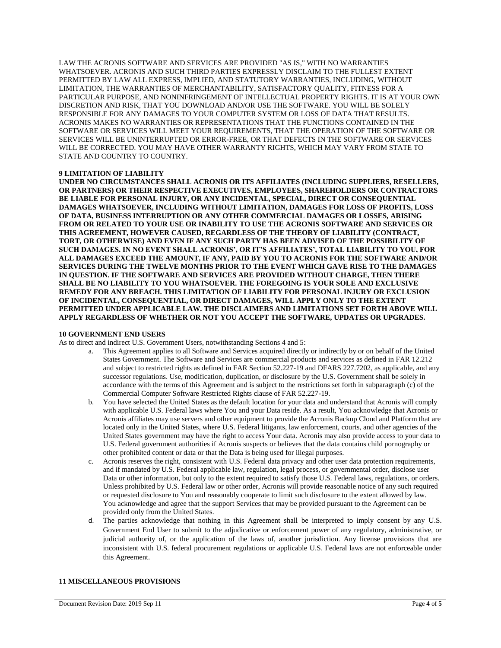LAW THE ACRONIS SOFTWARE AND SERVICES ARE PROVIDED "AS IS," WITH NO WARRANTIES WHATSOEVER. ACRONIS AND SUCH THIRD PARTIES EXPRESSLY DISCLAIM TO THE FULLEST EXTENT PERMITTED BY LAW ALL EXPRESS, IMPLIED, AND STATUTORY WARRANTIES, INCLUDING, WITHOUT LIMITATION, THE WARRANTIES OF MERCHANTABILITY, SATISFACTORY QUALITY, FITNESS FOR A PARTICULAR PURPOSE, AND NONINFRINGEMENT OF INTELLECTUAL PROPERTY RIGHTS. IT IS AT YOUR OWN DISCRETION AND RISK, THAT YOU DOWNLOAD AND/OR USE THE SOFTWARE. YOU WILL BE SOLELY RESPONSIBLE FOR ANY DAMAGES TO YOUR COMPUTER SYSTEM OR LOSS OF DATA THAT RESULTS. ACRONIS MAKES NO WARRANTIES OR REPRESENTATIONS THAT THE FUNCTIONS CONTAINED IN THE SOFTWARE OR SERVICES WILL MEET YOUR REQUIREMENTS, THAT THE OPERATION OF THE SOFTWARE OR SERVICES WILL BE UNINTERRUPTED OR ERROR-FREE, OR THAT DEFECTS IN THE SOFTWARE OR SERVICES WILL BE CORRECTED. YOU MAY HAVE OTHER WARRANTY RIGHTS, WHICH MAY VARY FROM STATE TO STATE AND COUNTRY TO COUNTRY.

# **9 LIMITATION OF LIABILITY**

**UNDER NO CIRCUMSTANCES SHALL ACRONIS OR ITS AFFILIATES (INCLUDING SUPPLIERS, RESELLERS, OR PARTNERS) OR THEIR RESPECTIVE EXECUTIVES, EMPLOYEES, SHAREHOLDERS OR CONTRACTORS BE LIABLE FOR PERSONAL INJURY, OR ANY INCIDENTAL, SPECIAL, DIRECT OR CONSEQUENTIAL DAMAGES WHATSOEVER, INCLUDING WITHOUT LIMITATION, DAMAGES FOR LOSS OF PROFITS, LOSS OF DATA, BUSINESS INTERRUPTION OR ANY OTHER COMMERCIAL DAMAGES OR LOSSES, ARISING FROM OR RELATED TO YOUR USE OR INABILITY TO USE THE ACRONIS SOFTWARE AND SERVICES OR THIS AGREEMENT, HOWEVER CAUSED, REGARDLESS OF THE THEORY OF LIABILITY (CONTRACT, TORT, OR OTHERWISE) AND EVEN IF ANY SUCH PARTY HAS BEEN ADVISED OF THE POSSIBILITY OF SUCH DAMAGES. IN NO EVENT SHALL ACRONIS', OR IT'S AFFILIATES', TOTAL LIABILITY TO YOU, FOR ALL DAMAGES EXCEED THE AMOUNT, IF ANY, PAID BY YOU TO ACRONIS FOR THE SOFTWARE AND/OR SERVICES DURING THE TWELVE MONTHS PRIOR TO THE EVENT WHICH GAVE RISE TO THE DAMAGES IN QUESTION. IF THE SOFTWARE AND SERVICES ARE PROVIDED WITHOUT CHARGE, THEN THERE SHALL BE NO LIABILITY TO YOU WHATSOEVER. THE FOREGOING IS YOUR SOLE AND EXCLUSIVE REMEDY FOR ANY BREACH. THIS LIMITATION OF LIABILITY FOR PERSONAL INJURY OR EXCLUSION OF INCIDENTAL, CONSEQUENTIAL, OR DIRECT DAMAGES, WILL APPLY ONLY TO THE EXTENT PERMITTED UNDER APPLICABLE LAW. THE DISCLAIMERS AND LIMITATIONS SET FORTH ABOVE WILL APPLY REGARDLESS OF WHETHER OR NOT YOU ACCEPT THE SOFTWARE, UPDATES OR UPGRADES.** 

#### **10 GOVERNMENT END USERS**

As to direct and indirect U.S. Government Users, notwithstanding Sections 4 and 5:

- a. This Agreement applies to all Software and Services acquired directly or indirectly by or on behalf of the United States Government. The Software and Services are commercial products and services as defined in FAR 12.212 and subject to restricted rights as defined in FAR Section 52.227-19 and DFARS 227.7202, as applicable, and any successor regulations. Use, modification, duplication, or disclosure by the U.S. Government shall be solely in accordance with the terms of this Agreement and is subject to the restrictions set forth in subparagraph (c) of the Commercial Computer Software Restricted Rights clause of FAR 52.227-19.
- b. You have selected the United States as the default location for your data and understand that Acronis will comply with applicable U.S. Federal laws where You and your Data reside. As a result, You acknowledge that Acronis or Acronis affiliates may use servers and other equipment to provide the Acronis Backup Cloud and Platform that are located only in the United States, where U.S. Federal litigants, law enforcement, courts, and other agencies of the United States government may have the right to access Your data. Acronis may also provide access to your data to U.S. Federal government authorities if Acronis suspects or believes that the data contains child pornography or other prohibited content or data or that the Data is being used for illegal purposes.
- c. Acronis reserves the right, consistent with U.S. Federal data privacy and other user data protection requirements, and if mandated by U.S. Federal applicable law, regulation, legal process, or governmental order, disclose user Data or other information, but only to the extent required to satisfy those U.S. Federal laws, regulations, or orders. Unless prohibited by U.S. Federal law or other order, Acronis will provide reasonable notice of any such required or requested disclosure to You and reasonably cooperate to limit such disclosure to the extent allowed by law. You acknowledge and agree that the support Services that may be provided pursuant to the Agreement can be provided only from the United States.
- d. The parties acknowledge that nothing in this Agreement shall be interpreted to imply consent by any U.S. Government End User to submit to the adjudicative or enforcement power of any regulatory, administrative, or judicial authority of, or the application of the laws of, another jurisdiction. Any license provisions that are inconsistent with U.S. federal procurement regulations or applicable U.S. Federal laws are not enforceable under this Agreement.

# **11 MISCELLANEOUS PROVISIONS**